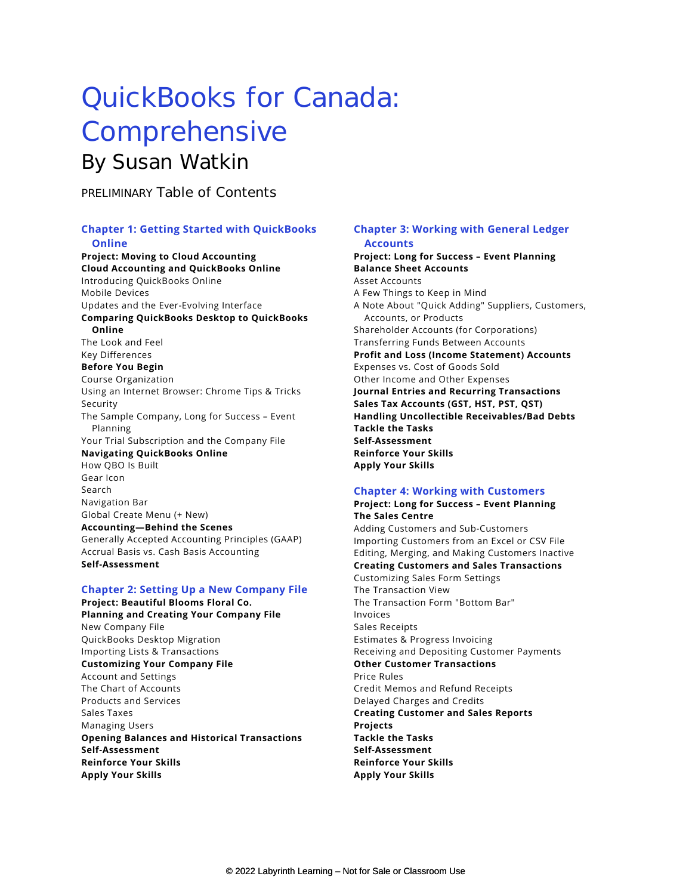# QuickBooks for Canada: Comprehensive By Susan Watkin

PRELIMINARY Table of Contents

# **Chapter 1: Getting Started with QuickBooks Online**

**Project: Moving to Cloud Accounting Cloud Accounting and QuickBooks Online** Introducing QuickBooks Online Mobile Devices Updates and the Ever-Evolving Interface **Comparing QuickBooks Desktop to QuickBooks Online** The Look and Feel Key Differences **Before You Begin** Course Organization Using an Internet Browser: Chrome Tips & Tricks Security The Sample Company, Long for Success – Event Planning Your Trial Subscription and the Company File **Navigating QuickBooks Online** How QBO Is Built Gear Icon Search Navigation Bar Global Create Menu (+ New) **Accounting—Behind the Scenes** Generally Accepted Accounting Principles (GAAP) Accrual Basis vs. Cash Basis Accounting **Self-Assessment**

# **Chapter 2: Setting Up a New Company File**

**Project: Beautiful Blooms Floral Co. Planning and Creating Your Company File** New Company File QuickBooks Desktop Migration Importing Lists & Transactions **Customizing Your Company File** Account and Settings The Chart of Accounts Products and Services Sales Taxes Managing Users **Opening Balances and Historical Transactions Self-Assessment Reinforce Your Skills Apply Your Skills** 

## **Chapter 3: Working with General Ledger Accounts**

**Project: Long for Success – Event Planning Balance Sheet Accounts** Asset Accounts A Few Things to Keep in Mind A Note About "Quick Adding" Suppliers, Customers, Accounts, or Products Shareholder Accounts (for Corporations) Transferring Funds Between Accounts **Profit and Loss (Income Statement) Accounts** Expenses vs. Cost of Goods Sold Other Income and Other Expenses **Journal Entries and Recurring Transactions Sales Tax Accounts (GST, HST, PST, QST) Handling Uncollectible Receivables/Bad Debts Tackle the Tasks Self-Assessment Reinforce Your Skills Apply Your Skills**

#### **Chapter 4: Working with Customers**

**Project: Long for Success – Event Planning The Sales Centre** Adding Customers and Sub-Customers Importing Customers from an Excel or CSV File Editing, Merging, and Making Customers Inactive **Creating Customers and Sales Transactions** Customizing Sales Form Settings The Transaction View The Transaction Form "Bottom Bar" Invoices Sales Receipts Estimates & Progress Invoicing Receiving and Depositing Customer Payments **Other Customer Transactions** Price Rules Credit Memos and Refund Receipts Delayed Charges and Credits **Creating Customer and Sales Reports Projects Tackle the Tasks Self-Assessment Reinforce Your Skills Apply Your Skills**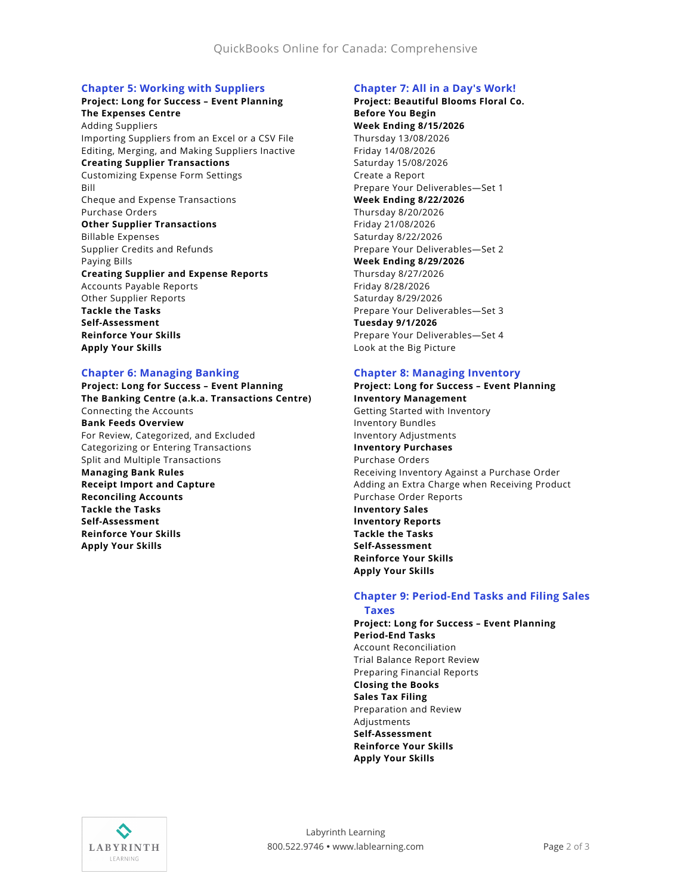## **Chapter 5: Working with Suppliers**

#### **Project: Long for Success – Event Planning The Expenses Centre**

Adding Suppliers Importing Suppliers from an Excel or a CSV File Editing, Merging, and Making Suppliers Inactive **Creating Supplier Transactions** Customizing Expense Form Settings Bill Cheque and Expense Transactions

Purchase Orders **Other Supplier Transactions**

Billable Expenses Supplier Credits and Refunds Paying Bills

#### **Creating Supplier and Expense Reports**

Accounts Payable Reports Other Supplier Reports **Tackle the Tasks Self-Assessment**

**Reinforce Your Skills Apply Your Skills**

## **Chapter 6: Managing Banking**

**Project: Long for Success – Event Planning The Banking Centre (a.k.a. Transactions Centre)** Connecting the Accounts **Bank Feeds Overview** For Review, Categorized, and Excluded Categorizing or Entering Transactions Split and Multiple Transactions **Managing Bank Rules Receipt Import and Capture Reconciling Accounts Tackle the Tasks Self-Assessment Reinforce Your Skills Apply Your Skills**

#### **Chapter 7: All in a Day's Work!**

**Project: Beautiful Blooms Floral Co. Before You Begin Week Ending 8/15/2026** Thursday 13/08/2026 Friday 14/08/2026 Saturday 15/08/2026 Create a Report Prepare Your Deliverables—Set 1 **Week Ending 8/22/2026** Thursday 8/20/2026 Friday 21/08/2026 Saturday 8/22/2026 Prepare Your Deliverables—Set 2 **Week Ending 8/29/2026** Thursday 8/27/2026 Friday 8/28/2026 Saturday 8/29/2026 Prepare Your Deliverables—Set 3 **Tuesday 9/1/2026** Prepare Your Deliverables—Set 4 Look at the Big Picture

## **Chapter 8: Managing Inventory**

**Project: Long for Success – Event Planning Inventory Management** Getting Started with Inventory Inventory Bundles Inventory Adjustments **Inventory Purchases** Purchase Orders Receiving Inventory Against a Purchase Order Adding an Extra Charge when Receiving Product Purchase Order Reports **Inventory Sales Inventory Reports Tackle the Tasks Self-Assessment Reinforce Your Skills Apply Your Skills**

#### **Chapter 9: Period-End Tasks and Filing Sales Taxes**

**Project: Long for Success – Event Planning Period-End Tasks** Account Reconciliation Trial Balance Report Review Preparing Financial Reports **Closing the Books Sales Tax Filing** Preparation and Review Adjustments **Self-Assessment Reinforce Your Skills Apply Your Skills**